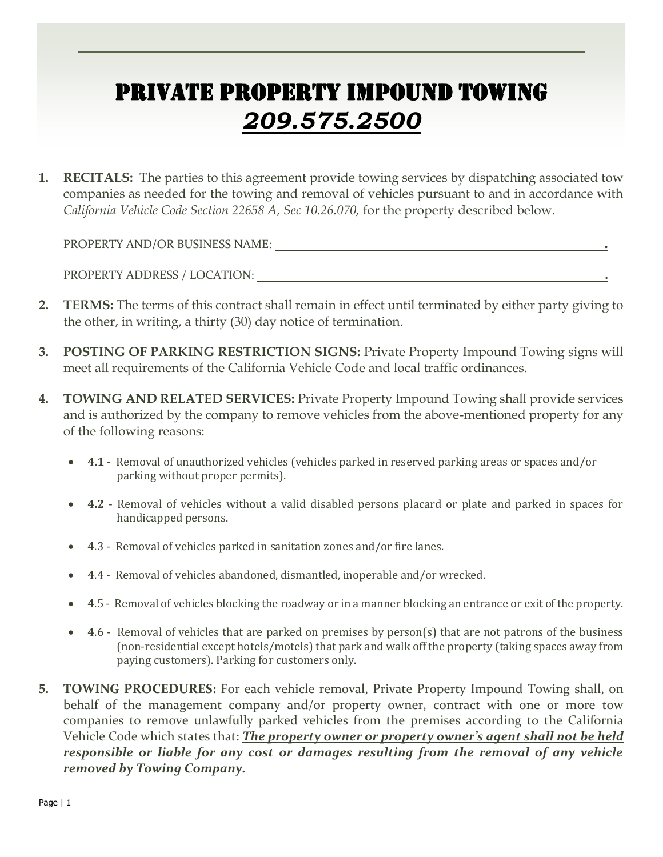## PRIVATE PROPERTY IMPOUND TOWING *209.575.2500*

**1. RECITALS:** The parties to this agreement provide towing services by dispatching associated tow companies as needed for the towing and removal of vehicles pursuant to and in accordance with *California Vehicle Code Section 22658 A, Sec 10.26.070,* for the property described below.

PROPERTY AND/OR BUSINESS NAME: **.** 

PROPERTY ADDRESS / LOCATION: **.**

- **2. TERMS:** The terms of this contract shall remain in effect until terminated by either party giving to the other, in writing, a thirty (30) day notice of termination.
- **3. POSTING OF PARKING RESTRICTION SIGNS:** Private Property Impound Towing signs will meet all requirements of the California Vehicle Code and local traffic ordinances.
- **4. TOWING AND RELATED SERVICES:** Private Property Impound Towing shall provide services and is authorized by the company to remove vehicles from the above-mentioned property for any of the following reasons:
	- **4.1**  Removal of unauthorized vehicles (vehicles parked in reserved parking areas or spaces and/or parking without proper permits).
	- **4.2**  Removal of vehicles without a valid disabled persons placard or plate and parked in spaces for handicapped persons.
	- **4**.3 Removal of vehicles parked in sanitation zones and/or fire lanes.
	- **4**.4 Removal of vehicles abandoned, dismantled, inoperable and/or wrecked.
	- **4**.5 Removal of vehicles blocking the roadway or in a manner blocking an entrance or exit of the property.
	- **4**.6 Removal of vehicles that are parked on premises by person(s) that are not patrons of the business (non-residential except hotels/motels) that park and walk off the property (taking spaces away from paying customers). Parking for customers only.
- **5. TOWING PROCEDURES:** For each vehicle removal, Private Property Impound Towing shall, on behalf of the management company and/or property owner, contract with one or more tow companies to remove unlawfully parked vehicles from the premises according to the California Vehicle Code which states that: *The property owner or property owner's agent shall not be held responsible or liable for any cost or damages resulting from the removal of any vehicle removed by Towing Company.*